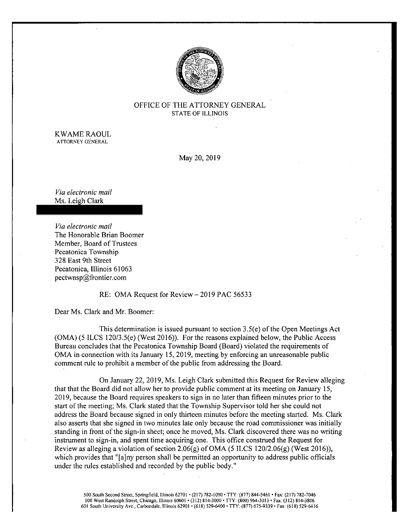

## OFFICE OF THE ATTORNEY GENERAL STATE OF ILLINOIS

KWAME RAOUL ATTORNEY GENERAL

May 20, 2019

Via electronic mail Ms. Leigh Clark

Via electronic mail The Honorable Brian Boomer Member, Board of Trustees Pecatonica Township 328 East 9th Street Pecatonica, Illinois 61063 pectwnsp@frontier. com

RE: OMA Request for Review — 2019 PAC 56533

Dear Ms. Clark and Mr. Boomer:

This determination is issued pursuant to section  $3.5(e)$  of the Open Meetings Act  $(OMA)$  (5 ILCS 120/3.5(e) (West 2016)). For the reasons explained below, the Public Access Bureau concludes that the Pecatonica Township Board ( Board) violated the requirements of OMA in connection with its January 15, 2019, meeting by enforcing an unreasonable public comment rule to prohibit <sup>a</sup> member of the public from addressing the Board.

On January 22, 2019, Ms. Leigh Clark submitted this Request for Review alleging that that the Board did not allow her to provide public comment at its meeting on January 15, 2019, because the Board requires speakers to sign in no later than fifteen minutes prior to the start of the meeting; Ms. Clark stated that the Township Supervisor told her she could not address the Board because signed in only thirteen minutes before the meeting started. Ms. Clark also asserts that she signed in two minutes late only because the road commissioner was initially standing in front of the sign-in sheet; once he moved, Ms. Clark discovered there was no writing instrument to sign-in, and spent time acquiring one. This office construed the Request for Review as alleging a violation of section 2.06 $(g)$  of OMA (5 ILCS 120/2.06 $(g)$  (West 2016)), which provides that "[a] ny person shall be permitted an opportunity to address public officials under the rules established and recorded by the public body."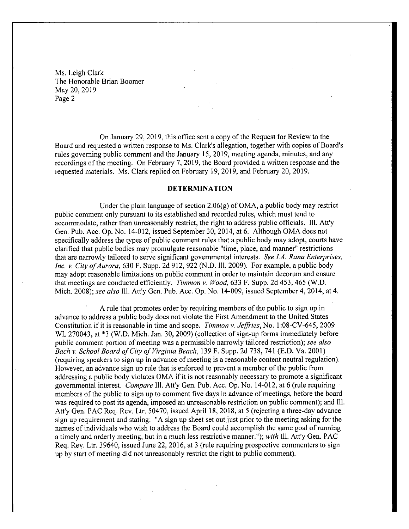On January 29, 2019, this office sent a copy of the Request for Review to the Board and requested a written response to Ms. Clark's allegation, together with copies of Board's rules governing public comment and the January 15, 2019, meeting agenda, minutes, and any recordings of the meeting. On February 7, 2019, the Board provided a written response and the requested materials. Ms. Clark replied on February 19, 2019, and February 20, 2019.

## DETERMINATION

Under the plain language of section  $2.06(g)$  of OMA, a public body may restrict public comment only pursuant to its established and recorded rules, which must tend to accommodate, rather than unreasonably restrict, the right to address public officials. Ill. Att'y Gen. Pub. Acc. Op. No. 14- 012, issued September 30, 2014, at 6. Although OMA does not specifically address the types of public comment rules that a public body may adopt, courts have clarified that public bodies may promulgate reasonable " time, place, and manner" restrictions that are narrowly tailored to serve significant governmental interests. See I.A. Rana Enterprises, Inc. v. City of Aurora, 630 F. Supp. 2d 912, 922 (N.D. Ill. 2009). For example, a public body may adopt reasonable limitations on public comment in order to maintain decorum and ensure that meetings are conducted efficiently. Timmon v. Wood, 633 F. Supp. 2d 453, 465 (W.D. Mich. 2008); see also Ill. Att'y Gen. Pub. Acc. Op. No. 14-009, issued September 4, 2014, at 4.

A rule that promotes order by requiring members of the public to sign up in advance to address a public body does not violate the First Amendment to the United States Constitution if it is reasonable in time and scope. Timmon v. Jeffries, No. 1: 08 -CV -645, 2009 WL 270043, at \*3 (W.D. Mich. Jan. 30, 2009) (collection of sign-up forms immediately before public comment portion of meeting was a permissible narrowly tailored restriction); see also Bach v. School Board of City of Virginia Beach, 139 F. Supp. 2d 738, 741 (E.D. Va. 2001) requiring speakers to sign up in advance of meeting is <sup>a</sup> reasonable content neutral regulation). However, an advance sign up rule that is enforced to prevent <sup>a</sup> member of the public from addressing <sup>a</sup> public body violates OMA if it is not reasonably necessary to promote <sup>a</sup> significant governmental interest. Compare Ill. Att'y Gen. Pub. Acc. Op. No. 14-012, at 6 (rule requiring members of the public to sign up to comment five days in advance of meetings, before the board was required to post its agenda, imposed an unreasonable restriction on public comment); and Ill. Att'y Gen. PAC Req. Rev. Ltr. 50470, issued April 18, 2018, at 5 (rejecting a three-day advance sign up requirement and stating: " A sign up sheet set out just prior to the meeting asking for the names of individuals who wish to address the Board could accomplish the same goal ofrunning a timely and orderly meeting, but in a much less restrictive manner."); with Ill. Att'y Gen. PAC Req. Rev. Ltr. 39640, issued June 22, 2016, at 3 (rule requiring prospective commenters to sign up by start of meeting did not unreasonably restrict the right to public comment).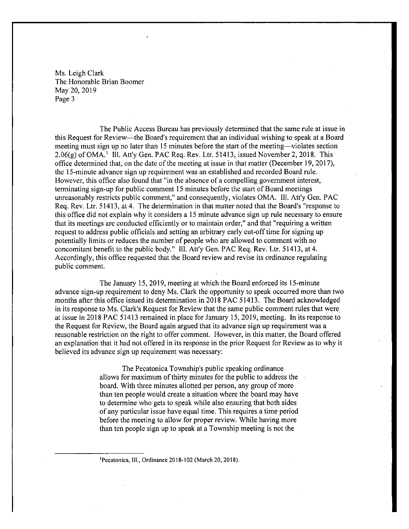The Public Access Bureau has previously determined that the same rule at issue in this Request for Review— the Board's requirement that an individual wishing to speak at a Board meeting must sign up no later than <sup>15</sup> minutes before the start of the meeting— violates section  $2.06(g)$  of OMA.<sup>1</sup> III. Att'y Gen. PAC Req. Rev. Ltr. 51413, issued November 2, 2018. This office determined that, on the date of the meeting at issue in that matter (December 19, 2017), the 15 - minute advance sign up requirement was an established and recorded Board rule. However, this office also found that "in the absence of a compelling government interest, terminating sign- up for public comment <sup>15</sup> minutes before the start of Board meetings unreasonably restricts public comment," and consequently, violates OMA. I11. Att'y Gen. PAC Req. Rev. Ltr. 51413, at 4. The determination in that matter noted that the Board's "response to this office did not explain why it considers a <sup>15</sup> minute advance sign up rule necessary to ensure that its meetings are conducted efficiently or to maintain order," and that " requiring a written request to address public officials and setting an arbitrary early cut-off time for signing up potentially limits or reduces the number of people who are allowed to comment with no concomitant benefit to the public body." Ill. Att'y Gen. PAC Req. Rev. Ltr. 51413, at 4. Accordingly, this office requested that the Board review and revise its ordinance regulating public comment.

The January 15, 2019, meeting at which the Board enforced its 15 -minute advance sign-up requirement to deny Ms. Clark the opportunity to speak occurred more than two months after this office issued its determination in 2018 PAC 51413. The Board acknowledged in its response to Ms. Clark's Request for Review that the same public comment rules that were at issue in 2018 PAC 51413 remained in place for January 15, 2019, meeting. In its response to the Request for Review, the Board again argued that its advance sign up requirement was a reasonable restriction on the right to offer comment. However, in this matter, the Board offered an explanation that it had not offered in its response in the prior Request for Review as to why it believed its advance sign up requirement was necessary:

> The Pecatonica Township's public speaking ordinance allows for maximum of thirty minutes for the public to address the board. With three minutes allotted per person, any group of more than ten people would create a situation where the board may have to determine who gets to speak while also ensuring that both sides of any particular issue have equal time. This requires a time period before the meeting to allow for proper review. While having more than ten people sign up to speak at a Township meeting is not the

1Pecatonica, 111., Ordinance 2018- 102 ( March 20, 2018).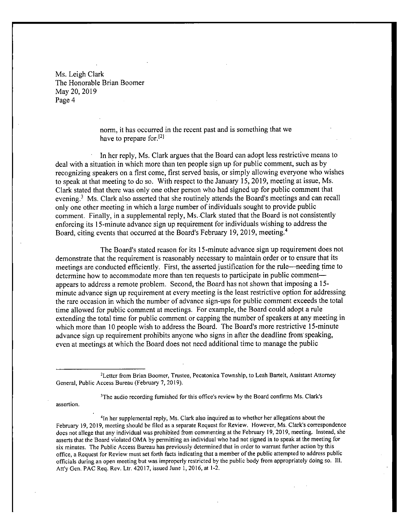> norm, it has occurred in the recent past and is something that we have to prepare for.<sup>[2]</sup>

In her reply, Ms. Clark argues that the Board can adopt less restrictive means to deal with a situation in which more than ten people sign up for public comment, such as by recognizing speakers on a first come, first served basis, or simply allowing everyone who wishes to speak at that meeting to do so. With respect to the January 15, 2019, meeting at issue, Ms. Clark stated that there was only one other person who had signed up for public comment that evening.<sup>3</sup> Ms. Clark also asserted that she routinely attends the Board's meetings and can recall only one other meeting in which <sup>a</sup> large number of individuals sought to provide public comment. Finally, in a supplemental reply, Ms. Clark stated that the Board is not consistently enforcing its 15 -minute advance sign up requirement for individuals wishing to address the Board, citing events that occurred at the Board's February 19, 2019, meeting.<sup>4</sup>

The Board's stated reason for its 15-minute advance sign up requirement does not demonstrate that the requirement is reasonably necessary to maintain order or to ensure that its meetings are conducted efficiently. First, the asserted justification for the rule— needing time to determine how to accommodate more than ten requests to participate in public comment appears to address a remote problem. Second, the Board has not shown that imposing a 15 minute advance sign up requirement at every meeting is the least restrictive option for addressing the rare occasion in which the number of advance sign- ups for public comment exceeds the total time allowed for public comment at meetings. For example, the Board could adopt a rule extending the total time for public comment or capping the number of speakers at any meeting in which more than 10 people wish to address the Board. The Board's more restrictive 15-minute advance sign up requirement prohibits anyone who signs in after the deadline from speaking, even at meetings at which the Board does not need additional time to manage the public

<sup>3</sup>The audio recording furnished for this office's review by the Board confirms Ms. Clark's

assertion.

41n her supplemental reply, Ms. Clark also inquired as to whether her allegations about the February 19, 2019, meeting should be filed as a separate Request for Review. However, Ms. Clark's correspondence does not allege that any individual was prohibited from commenting at the February 19, 2019, meeting. Instead, she asserts that the Board violated OMA by permitting an individual who had not signed in to speak at the meeting for six minutes. The Public Access Bureau has previously determined that in order to warrant further action by this office, a Request for Review must set forth facts indicating that <sup>a</sup> member of the public attempted to address public officials during an open meeting but was improperly restricted by the public body from appropriately doing so. 111. Att'y Gen. PAC Req. Rev. Ltr. 42017, issued June 1, 2016, at 1-2.

<sup>&</sup>lt;sup>2</sup>Letter from Brian Boomer, Trustee, Pecatonica Township, to Leah Bartelt, Assistant Attorney General, Public Access Bureau (February 7, 2019).